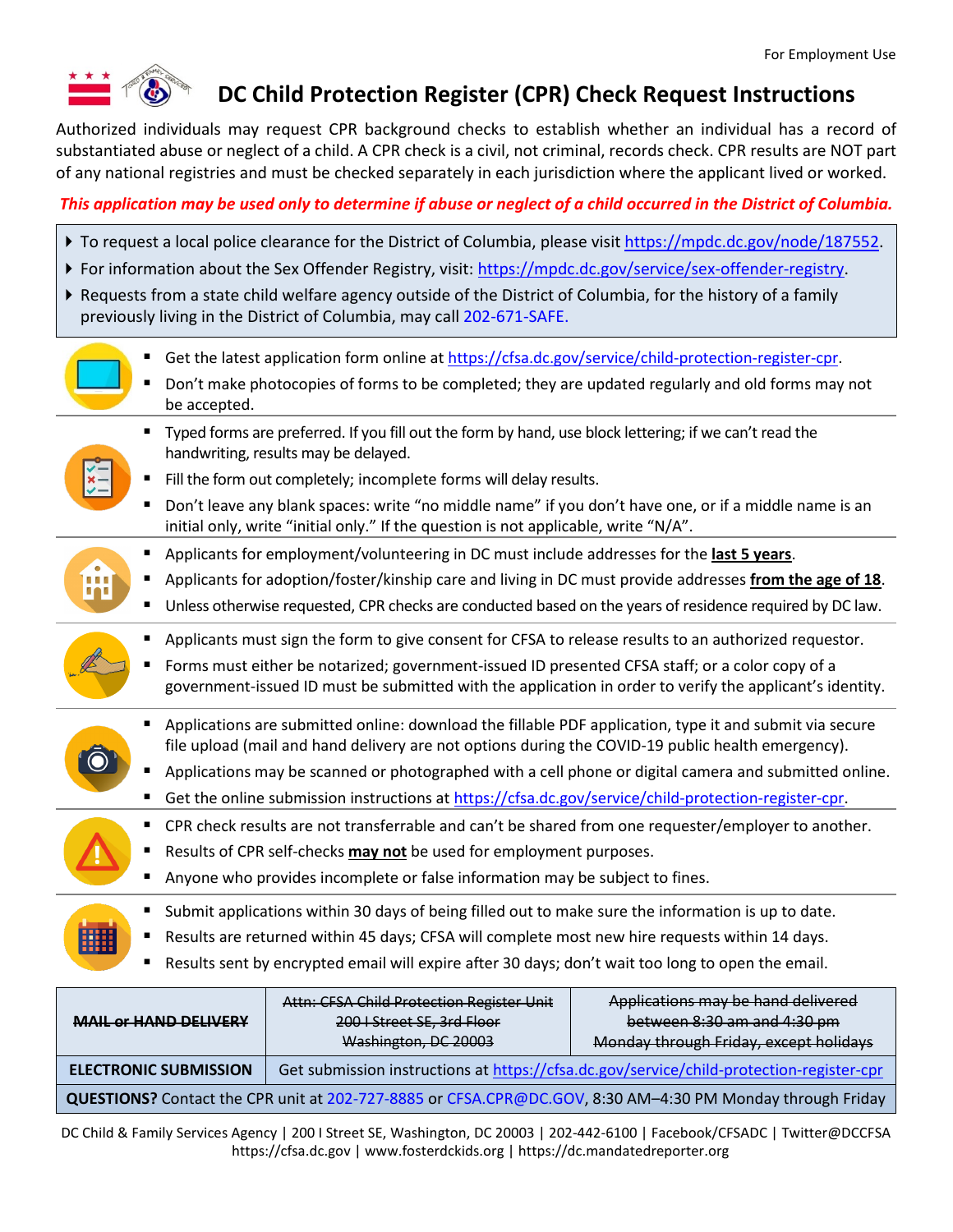

## **DC Child Protection Register (CPR) Check Request Instructions**

Authorized individuals may request CPR background checks to establish whether an individual has a record of substantiated abuse or neglect of a child. A CPR check is a civil, not criminal, records check. CPR results are NOT part of any national registries and must be checked separately in each jurisdiction where the applicant lived or worked.

### *This application may be used only to determine if abuse or neglect of a child occurred in the District of Columbia.*

- To request a local police clearance for the District of Columbia, please visit [https://mpdc.dc.gov/node/187552.](https://mpdc.dc.gov/node/187552)
- For information about the Sex Offender Registry, visit: [https://mpdc.dc.gov/service/sex-offender-registry.](https://mpdc.dc.gov/service/sex-offender-registry)
- Requests from a state child welfare agency outside of the District of Columbia, for the history of a family previously living in the District of Columbia, may call 202-671-SAFE.
	- Get the latest application form online at [https://cfsa.dc.gov/service/child-protection-register-cpr.](https://cfsa.dc.gov/service/child-protection-register-cpr)
	- Don't make photocopies of forms to be completed; they are updated regularly and old forms may not be accepted.
- 
- Typed forms are preferred. If you fill out the form by hand, use block lettering; if we can't read the handwriting, results may be delayed.
- Fill the form out completely; incomplete forms will delay results.
- Don't leave any blank spaces: write "no middle name" if you don't have one, or if a middle name is an initial only, write "initial only." If the question is not applicable, write "N/A".
- Applicants for employment/volunteering in DC must include addresses for the **last 5 years**.
- Applicants for adoption/foster/kinship care and living in DC must provide addresses **from the age of 18**.
- Unless otherwise requested, CPR checks are conducted based on the years of residence required by DC law.



- Forms must either be notarized; government-issued ID presented CFSA staff; or a color copy of a government-issued ID must be submitted with the application in order to verify the applicant's identity.
- Applications are submitted online: download the fillable PDF application, type it and submit via secure file upload (mail and hand delivery are not options during the COVID-19 public health emergency).
- Applications may be scanned or photographed with a cell phone or digital camera and submitted online.
- Get the online submission instructions at [https://cfsa.dc.gov/service/child-protection-register-cpr.](https://cfsa.dc.gov/service/child-protection-register-cpr)
- CPR check results are not transferrable and can't be shared from one requester/employer to another.
- Results of CPR self-checks **may not** be used for employment purposes.
- Anyone who provides incomplete or false information may be subject to fines.
- Submit applications within 30 days of being filled out to make sure the information is up to date.
- **Results are returned within 45 days; CFSA will complete most new hire requests within 14 days.**
- Results sent by encrypted email will expire after 30 days; don't wait too long to open the email.

| <b>MAIL or HAND DELIVERY</b>                                                                              | Attn: CFSA Child Protection Register Unit<br>200   Street SE, 3rd Floor                  | Applications may be hand delivered<br>between 8:30 am and 4:30 pm |  |  |  |
|-----------------------------------------------------------------------------------------------------------|------------------------------------------------------------------------------------------|-------------------------------------------------------------------|--|--|--|
|                                                                                                           | Washington, DC 20003                                                                     | Monday through Friday, except holidays                            |  |  |  |
| <b>ELECTRONIC SUBMISSION</b>                                                                              | Get submission instructions at https://cfsa.dc.gov/service/child-protection-register-cpr |                                                                   |  |  |  |
| QUESTIONS? Contact the CPR unit at 202-727-8885 or CFSA.CPR@DC.GOV, 8:30 AM-4:30 PM Monday through Friday |                                                                                          |                                                                   |  |  |  |

DC Child & Family Services Agency | 200 I Street SE, Washington, DC 20003 | 202-442-6100 | Facebook/CFSADC | Twitter@DCCFSA https://cfsa.dc.gov | www.fosterdckids.org | https://dc.mandatedreporter.org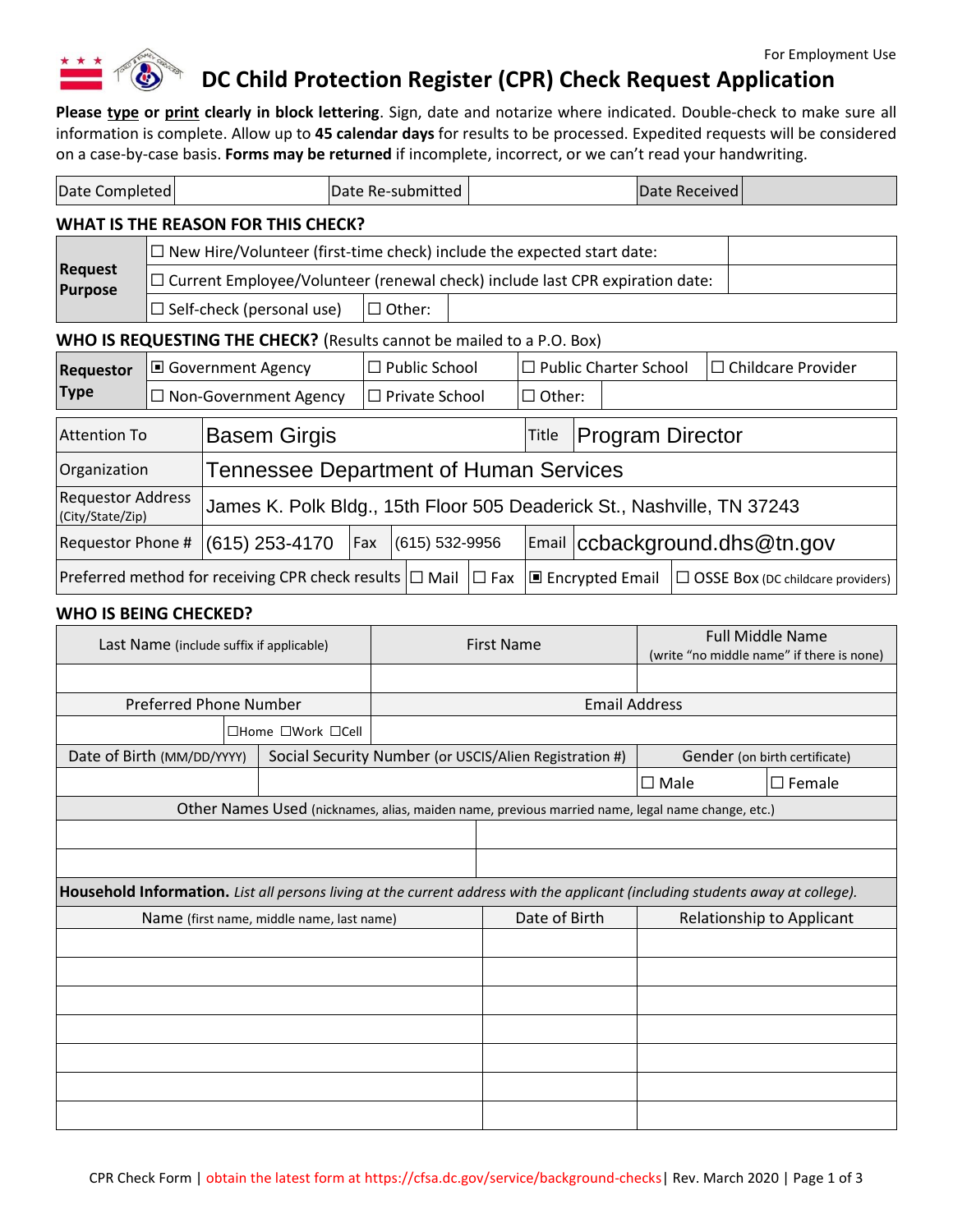

# **DC Child Protection Register (CPR) Check Request Application**

**Please type or print clearly in block lettering**. Sign, date and notarize where indicated. Double-check to make sure all information is complete. Allow up to **45 calendar days** for results to be processed. Expedited requests will be considered on a case-by-case basis. **Forms may be returned** if incomplete, incorrect, or we can't read your handwriting.

| Date Completed                                                                                 |                              |                                                                                     |                           | Date Re-submitted                                                      |       |                              |                               | Date Received |                                     |
|------------------------------------------------------------------------------------------------|------------------------------|-------------------------------------------------------------------------------------|---------------------------|------------------------------------------------------------------------|-------|------------------------------|-------------------------------|---------------|-------------------------------------|
| <b>WHAT IS THE REASON FOR THIS CHECK?</b>                                                      |                              |                                                                                     |                           |                                                                        |       |                              |                               |               |                                     |
|                                                                                                |                              | $\Box$ New Hire/Volunteer (first-time check) include the expected start date:       |                           |                                                                        |       |                              |                               |               |                                     |
| <b>Request</b><br><b>Purpose</b>                                                               |                              | $\Box$ Current Employee/Volunteer (renewal check) include last CPR expiration date: |                           |                                                                        |       |                              |                               |               |                                     |
|                                                                                                |                              | $\Box$ Self-check (personal use)                                                    |                           | $\Box$ Other:                                                          |       |                              |                               |               |                                     |
| WHO IS REQUESTING THE CHECK? (Results cannot be mailed to a P.O. Box)                          |                              |                                                                                     |                           |                                                                        |       |                              |                               |               |                                     |
| <b>Requestor</b>                                                                               | □ Government Agency          |                                                                                     |                           | $\Box$ Public School                                                   |       | $\Box$ Public Charter School |                               |               | $\Box$ Childcare Provider           |
| <b>Type</b>                                                                                    | $\Box$ Non-Government Agency |                                                                                     |                           | $\Box$ Private School                                                  |       | $\Box$ Other:                |                               |               |                                     |
| <b>Basem Girgis</b><br><b>Attention To</b>                                                     |                              |                                                                                     |                           |                                                                        | Title | <b>Program Director</b>      |                               |               |                                     |
| <b>Tennessee Department of Human Services</b><br>Organization                                  |                              |                                                                                     |                           |                                                                        |       |                              |                               |               |                                     |
| <b>Requestor Address</b><br>(City/State/Zip)                                                   |                              |                                                                                     |                           | James K. Polk Bldg., 15th Floor 505 Deaderick St., Nashville, TN 37243 |       |                              |                               |               |                                     |
| Requestor Phone #                                                                              |                              | $(615)$ 253-4170                                                                    | $(615) 532 - 9956$<br>Fax |                                                                        |       |                              | Email ccbackground.dhs@tn.gov |               |                                     |
| Preferred method for receiving CPR check results $\Box$ Mail $\Box$ Fax $\Box$ Encrypted Email |                              |                                                                                     |                           |                                                                        |       |                              |                               |               | □ OSSE BOX (DC childcare providers) |

#### **WHO IS BEING CHECKED?**

| Last Name (include suffix if applicable)                                                                                       |                                     | <b>First Name</b> |                                                                                                  | <b>Full Middle Name</b><br>(write "no middle name" if there is none) |                               |
|--------------------------------------------------------------------------------------------------------------------------------|-------------------------------------|-------------------|--------------------------------------------------------------------------------------------------|----------------------------------------------------------------------|-------------------------------|
|                                                                                                                                |                                     |                   |                                                                                                  |                                                                      |                               |
| <b>Preferred Phone Number</b>                                                                                                  |                                     |                   | <b>Email Address</b>                                                                             |                                                                      |                               |
|                                                                                                                                | $\Box$ Home $\Box$ Work $\Box$ Cell |                   |                                                                                                  |                                                                      |                               |
| Date of Birth (MM/DD/YYYY)                                                                                                     |                                     |                   | Social Security Number (or USCIS/Alien Registration #)                                           |                                                                      | Gender (on birth certificate) |
|                                                                                                                                |                                     |                   |                                                                                                  | $\square$ Male                                                       | $\square$ Female              |
|                                                                                                                                |                                     |                   | Other Names Used (nicknames, alias, maiden name, previous married name, legal name change, etc.) |                                                                      |                               |
|                                                                                                                                |                                     |                   |                                                                                                  |                                                                      |                               |
|                                                                                                                                |                                     |                   |                                                                                                  |                                                                      |                               |
| Household Information. List all persons living at the current address with the applicant (including students away at college). |                                     |                   |                                                                                                  |                                                                      |                               |
| Name (first name, middle name, last name)                                                                                      |                                     |                   | Date of Birth                                                                                    |                                                                      | Relationship to Applicant     |
|                                                                                                                                |                                     |                   |                                                                                                  |                                                                      |                               |
|                                                                                                                                |                                     |                   |                                                                                                  |                                                                      |                               |
|                                                                                                                                |                                     |                   |                                                                                                  |                                                                      |                               |
|                                                                                                                                |                                     |                   |                                                                                                  |                                                                      |                               |
|                                                                                                                                |                                     |                   |                                                                                                  |                                                                      |                               |
|                                                                                                                                |                                     |                   |                                                                                                  |                                                                      |                               |
|                                                                                                                                |                                     |                   |                                                                                                  |                                                                      |                               |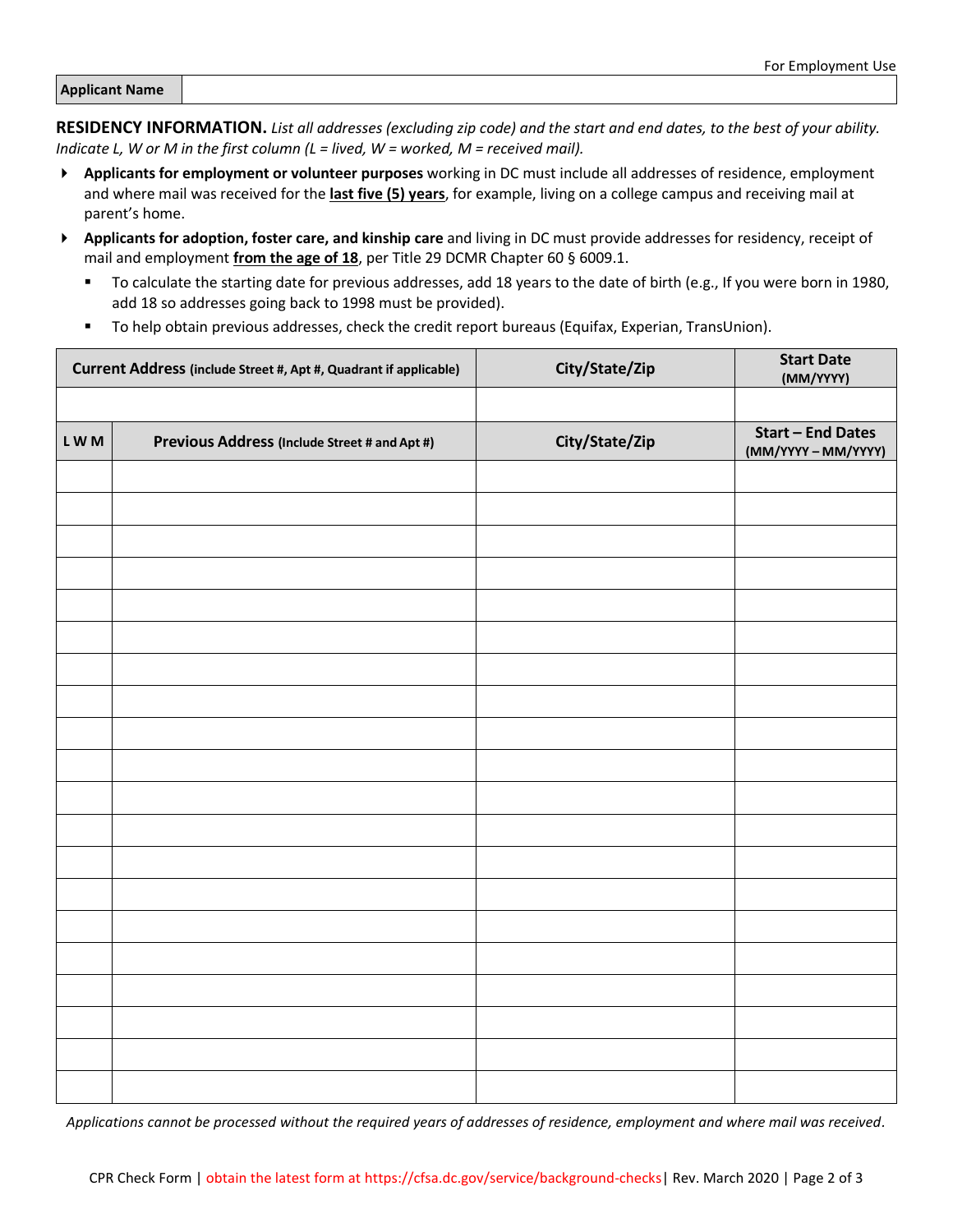| <b>Applicant Name</b> |
|-----------------------|
|-----------------------|

**RESIDENCY INFORMATION.** *List all addresses (excluding zip code) and the start and end dates, to the best of your ability. Indicate L, W or M in the first column (L = lived, W = worked, M = received mail).*

- **Applicants for employment or volunteer purposes** working in DC must include all addresses of residence, employment and where mail was received for the **last five (5) years**, for example, living on a college campus and receiving mail at parent's home.
- **Applicants for adoption, foster care, and kinship care** and living in DC must provide addresses for residency, receipt of mail and employment **from the age of 18**, per Title 29 DCMR Chapter 60 § 6009.1.
	- To calculate the starting date for previous addresses, add 18 years to the date of birth (e.g., If you were born in 1980, add 18 so addresses going back to 1998 must be provided).
	- To help obtain previous addresses, check the credit report bureaus (Equifax, Experian, TransUnion).

| Current Address (include Street #, Apt #, Quadrant if applicable) |                                               | City/State/Zip | <b>Start Date</b><br>(MM/YYYY)                |
|-------------------------------------------------------------------|-----------------------------------------------|----------------|-----------------------------------------------|
|                                                                   |                                               |                |                                               |
| LWM                                                               | Previous Address (Include Street # and Apt #) | City/State/Zip | <b>Start - End Dates</b><br>(MM/YYYY-MM/YYYY) |
|                                                                   |                                               |                |                                               |
|                                                                   |                                               |                |                                               |
|                                                                   |                                               |                |                                               |
|                                                                   |                                               |                |                                               |
|                                                                   |                                               |                |                                               |
|                                                                   |                                               |                |                                               |
|                                                                   |                                               |                |                                               |
|                                                                   |                                               |                |                                               |
|                                                                   |                                               |                |                                               |
|                                                                   |                                               |                |                                               |
|                                                                   |                                               |                |                                               |
|                                                                   |                                               |                |                                               |
|                                                                   |                                               |                |                                               |
|                                                                   |                                               |                |                                               |
|                                                                   |                                               |                |                                               |
|                                                                   |                                               |                |                                               |
|                                                                   |                                               |                |                                               |
|                                                                   |                                               |                |                                               |
|                                                                   |                                               |                |                                               |
|                                                                   |                                               |                |                                               |

*Applications cannot be processed without the required years of addresses of residence, employment and where mail was received.*